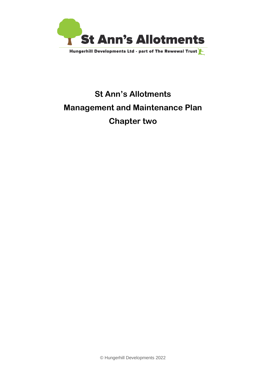

# **St Ann's Allotments Management and Maintenance Plan Chapter two**

© Hungerhill Developments 2022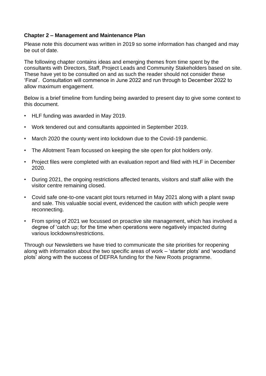### **Chapter 2 – Management and Maintenance Plan**

Please note this document was written in 2019 so some information has changed and may be out of date.

The following chapter contains ideas and emerging themes from time spent by the consultants with Directors, Staff, Project Leads and Community Stakeholders based on site. These have yet to be consulted on and as such the reader should not consider these 'Final'. Consultation will commence in June 2022 and run through to December 2022 to allow maximum engagement.

Below is a brief timeline from funding being awarded to present day to give some context to this document.

- HLF funding was awarded in May 2019.
- Work tendered out and consultants appointed in September 2019.
- March 2020 the county went into lockdown due to the Covid-19 pandemic.
- The Allotment Team focussed on keeping the site open for plot holders only.
- Project files were completed with an evaluation report and filed with HLF in December 2020.
- During 2021, the ongoing restrictions affected tenants, visitors and staff alike with the visitor centre remaining closed.
- Covid safe one-to-one vacant plot tours returned in May 2021 along with a plant swap and sale. This valuable social event, evidenced the caution with which people were reconnecting.
- From spring of 2021 we focussed on proactive site management, which has involved a degree of 'catch up; for the time when operations were negatively impacted during various lockdowns/restrictions.

Through our Newsletters we have tried to communicate the site priorities for reopening along with information about the two specific areas of work – 'starter plots' and 'woodland plots' along with the success of DEFRA funding for the New Roots programme.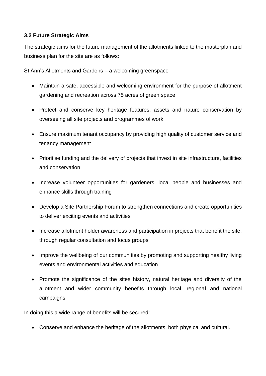# **3.2 Future Strategic Aims**

The strategic aims for the future management of the allotments linked to the masterplan and business plan for the site are as follows:

St Ann's Allotments and Gardens – a welcoming greenspace

- Maintain a safe, accessible and welcoming environment for the purpose of allotment gardening and recreation across 75 acres of green space
- Protect and conserve key heritage features, assets and nature conservation by overseeing all site projects and programmes of work
- Ensure maximum tenant occupancy by providing high quality of customer service and tenancy management
- Prioritise funding and the delivery of projects that invest in site infrastructure, facilities and conservation
- Increase volunteer opportunities for gardeners, local people and businesses and enhance skills through training
- Develop a Site Partnership Forum to strengthen connections and create opportunities to deliver exciting events and activities
- Increase allotment holder awareness and participation in projects that benefit the site, through regular consultation and focus groups
- Improve the wellbeing of our communities by promoting and supporting healthy living events and environmental activities and education
- Promote the significance of the sites history, natural heritage and diversity of the allotment and wider community benefits through local, regional and national campaigns

In doing this a wide range of benefits will be secured:

• Conserve and enhance the heritage of the allotments, both physical and cultural.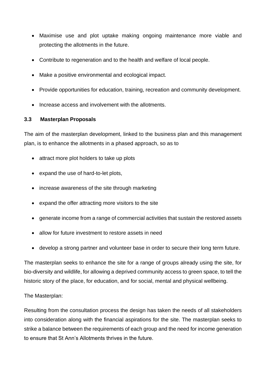- Maximise use and plot uptake making ongoing maintenance more viable and protecting the allotments in the future.
- Contribute to regeneration and to the health and welfare of local people.
- Make a positive environmental and ecological impact.
- Provide opportunities for education, training, recreation and community development.
- Increase access and involvement with the allotments.

# **3.3 Masterplan Proposals**

The aim of the masterplan development, linked to the business plan and this management plan, is to enhance the allotments in a phased approach, so as to

- attract more plot holders to take up plots
- expand the use of hard-to-let plots,
- increase awareness of the site through marketing
- expand the offer attracting more visitors to the site
- generate income from a range of commercial activities that sustain the restored assets
- allow for future investment to restore assets in need
- develop a strong partner and volunteer base in order to secure their long term future.

The masterplan seeks to enhance the site for a range of groups already using the site, for bio-diversity and wildlife, for allowing a deprived community access to green space, to tell the historic story of the place, for education, and for social, mental and physical wellbeing.

# The Masterplan:

Resulting from the consultation process the design has taken the needs of all stakeholders into consideration along with the financial aspirations for the site. The masterplan seeks to strike a balance between the requirements of each group and the need for income generation to ensure that St Ann's Allotments thrives in the future.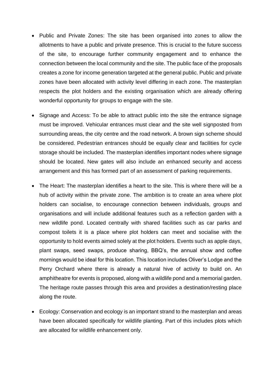- Public and Private Zones: The site has been organised into zones to allow the allotments to have a public and private presence. This is crucial to the future success of the site, to encourage further community engagement and to enhance the connection between the local community and the site. The public face of the proposals creates a zone for income generation targeted at the general public. Public and private zones have been allocated with activity level differing in each zone. The masterplan respects the plot holders and the existing organisation which are already offering wonderful opportunity for groups to engage with the site.
- Signage and Access: To be able to attract public into the site the entrance signage must be improved. Vehicular entrances must clear and the site well signposted from surrounding areas, the city centre and the road network. A brown sign scheme should be considered. Pedestrian entrances should be equally clear and facilities for cycle storage should be included. The masterplan identifies important nodes where signage should be located. New gates will also include an enhanced security and access arrangement and this has formed part of an assessment of parking requirements.
- The Heart: The masterplan identifies a heart to the site. This is where there will be a hub of activity within the private zone. The ambition is to create an area where plot holders can socialise, to encourage connection between individuals, groups and organisations and will include additional features such as a reflection garden with a new wildlife pond. Located centrally with shared facilities such as car parks and compost toilets it is a place where plot holders can meet and socialise with the opportunity to hold events aimed solely at the plot holders. Events such as apple days, plant swaps, seed swaps, produce sharing, BBQ's, the annual show and coffee mornings would be ideal for this location. This location includes Oliver's Lodge and the Perry Orchard where there is already a natural hive of activity to build on. An amphitheatre for events is proposed, along with a wildlife pond and a memorial garden. The heritage route passes through this area and provides a destination/resting place along the route.
- Ecology: Conservation and ecology is an important strand to the masterplan and areas have been allocated specifically for wildlife planting. Part of this includes plots which are allocated for wildlife enhancement only.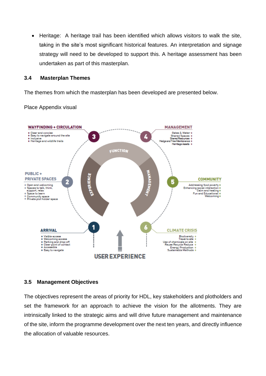• Heritage: A heritage trail has been identified which allows visitors to walk the site, taking in the site's most significant historical features. An interpretation and signage strategy will need to be developed to support this. A heritage assessment has been undertaken as part of this masterplan.

#### **3.4 Masterplan Themes**

The themes from which the masterplan has been developed are presented below.

Place Appendix visual



#### **3.5 Management Objectives**

The objectives represent the areas of priority for HDL, key stakeholders and plotholders and set the framework for an approach to achieve the vision for the allotments. They are intrinsically linked to the strategic aims and will drive future management and maintenance of the site, inform the programme development over the next ten years, and directly influence the allocation of valuable resources.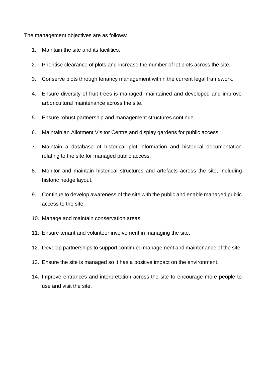The management objectives are as follows:

- 1. Maintain the site and its facilities.
- 2. Prioritise clearance of plots and increase the number of let plots across the site.
- 3. Conserve plots through tenancy management within the current legal framework.
- 4. Ensure diversity of fruit trees is managed, maintained and developed and improve arboricultural maintenance across the site.
- 5. Ensure robust partnership and management structures continue.
- 6. Maintain an Allotment Visitor Centre and display gardens for public access.
- 7. Maintain a database of historical plot information and historical documentation relating to the site for managed public access.
- 8. Monitor and maintain historical structures and artefacts across the site, including historic hedge layout.
- 9. Continue to develop awareness of the site with the public and enable managed public access to the site.
- 10. Manage and maintain conservation areas.
- 11. Ensure tenant and volunteer involvement in managing the site.
- 12. Develop partnerships to support continued management and maintenance of the site.
- 13. Ensure the site is managed so it has a positive impact on the environment.
- 14. Improve entrances and interpretation across the site to encourage more people to use and visit the site.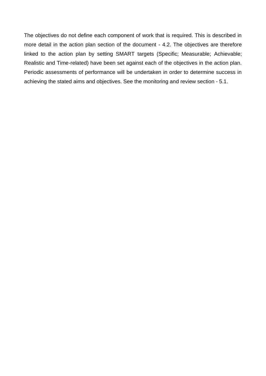The objectives do not define each component of work that is required. This is described in more detail in the action plan section of the document - 4.2. The objectives are therefore linked to the action plan by setting SMART targets (Specific; Measurable; Achievable; Realistic and Time-related) have been set against each of the objectives in the action plan. Periodic assessments of performance will be undertaken in order to determine success in achieving the stated aims and objectives. See the monitoring and review section - 5.1.